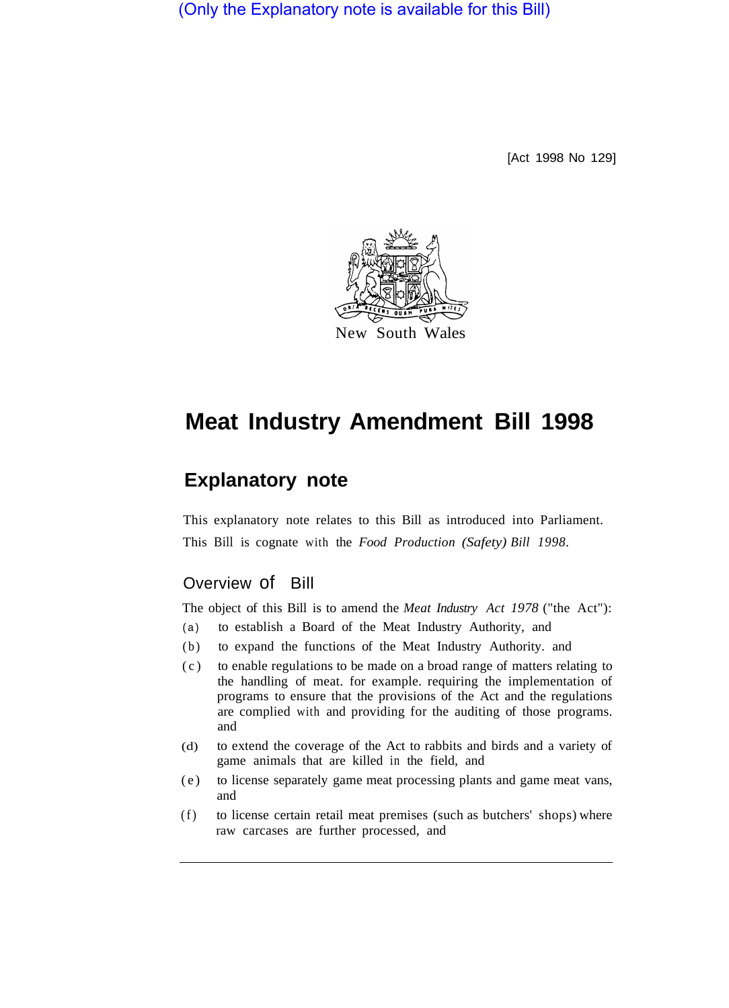(Only the Explanatory note is available for this Bill)

[Act 1998 No 129]



# **Meat Industry Amendment Bill 1998**

## **Explanatory note**

This explanatory note relates to this Bill as introduced into Parliament. This Bill is cognate with the *Food Production (Safety) Bill 1998.* 

### Overview of Bill

The object of this Bill is to amend the *Meat Industry Act 1978* ("the Act"):

- (a) to establish a Board of the Meat Industry Authority, and
- (b) to expand the functions of the Meat Industry Authority. and
- (c) to enable regulations to be made on a broad range of matters relating to the handling of meat. for example. requiring the implementation of programs to ensure that the provisions of the Act and the regulations are complied with and providing for the auditing of those programs. and
- (d) to extend the coverage of the Act to rabbits and birds and a variety of game animals that are killed in the field, and
- (e) to license separately game meat processing plants and game meat vans, and
- (f) to license certain retail meat premises (such as butchers' shops) where raw carcases are further processed, and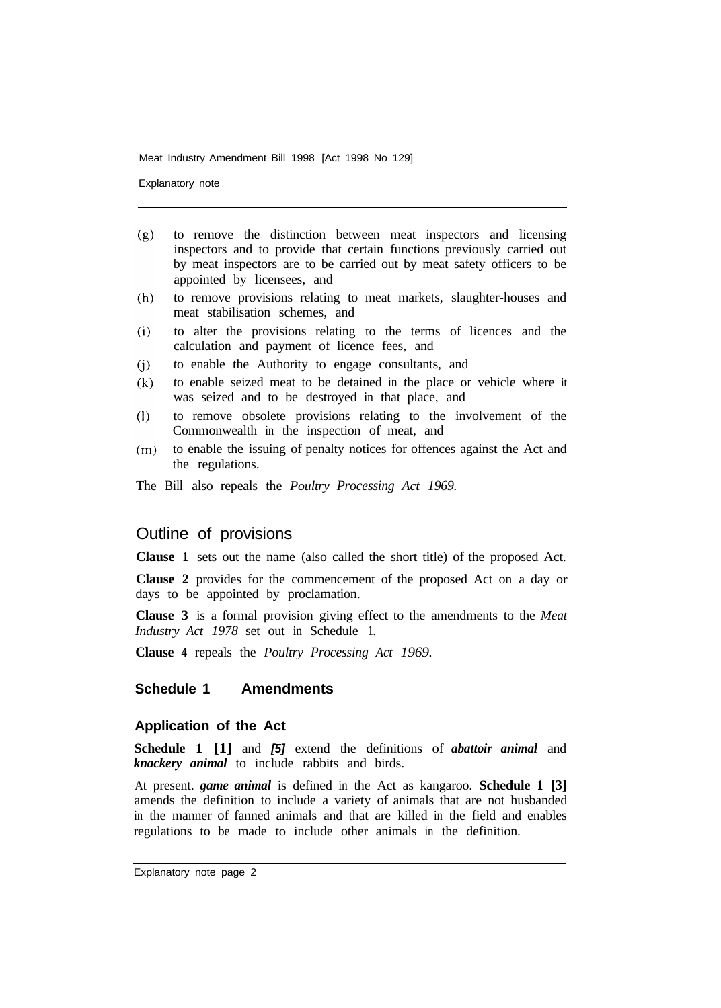Explanatory note

- $(g)$ to remove the distinction between meat inspectors and licensing inspectors and to provide that certain functions previously carried out by meat inspectors are to be carried out by meat safety officers to be appointed by licensees, and
- to remove provisions relating to meat markets, slaughter-houses and  $(h)$ meat stabilisation schemes, and
- to alter the provisions relating to the terms of licences and the  $(i)$ calculation and payment of licence fees, and
- to enable the Authority to engage consultants, and  $(i)$
- to enable seized meat to be detained in the place or vehicle where it  $(k)$ was seized and to be destroyed in that place, and
- to remove obsolete provisions relating to the involvement of the  $(1)$ Commonwealth in the inspection of meat, and
- to enable the issuing of penalty notices for offences against the Act and  $(m)$ the regulations.
- The Bill also repeals the *Poultry Processing Act 1969.*

#### Outline of provisions

**Clause 1** sets out the name (also called the short title) of the proposed Act.

**Clause 2** provides for the commencement of the proposed Act on a day or days to be appointed by proclamation.

**Clause 3** is a formal provision giving effect to the amendments to the *Meat Industry Act 1978* set out in Schedule 1.

**Clause 4** repeals the *Poultry Processing Act 1969.* 

#### **Schedule 1 Amendments**

#### **Application of the Act**

**Schedule 1 [1]** and *[5]* extend the definitions of *abattoir animal* and *knackery animal* to include rabbits and birds.

At present. *game animal* is defined in the Act as kangaroo. **Schedule 1 [3]**  amends the definition to include a variety of animals that are not husbanded in the manner of fanned animals and that are killed in the field and enables regulations to be made to include other animals in the definition.

Explanatory note page 2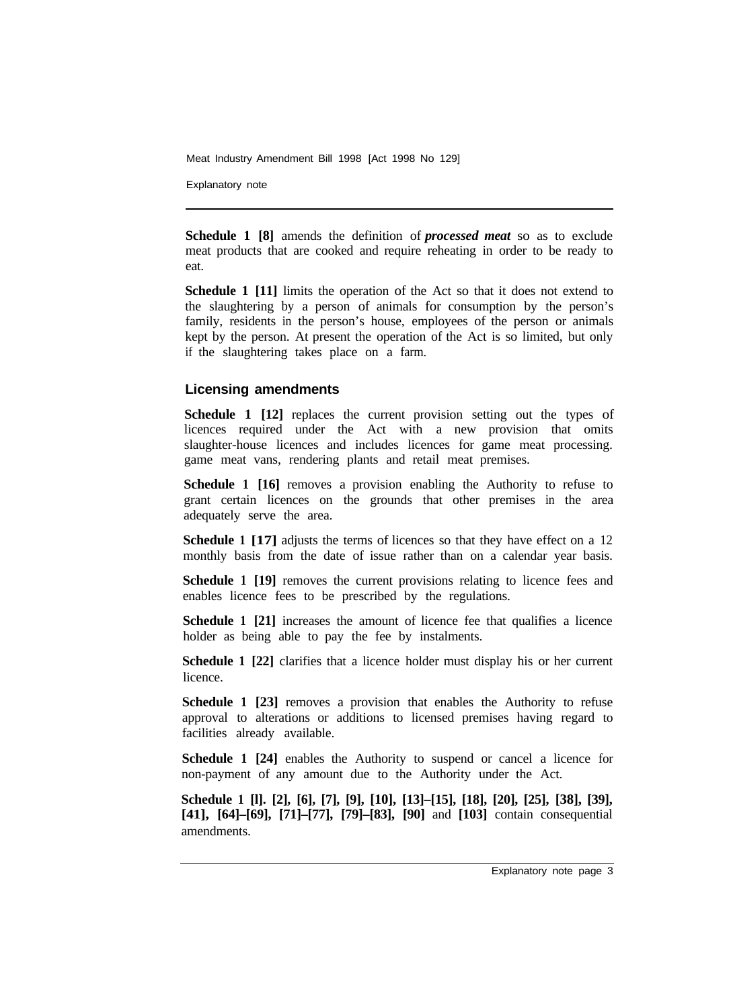Explanatory note

**Schedule 1 [8]** amends the definition of *processed meat* so as to exclude meat products that are cooked and require reheating in order to be ready to eat.

**Schedule 1 [11]** limits the operation of the Act so that it does not extend to the slaughtering by a person of animals for consumption by the person's family, residents in the person's house, employees of the person or animals kept by the person. At present the operation of the Act is so limited, but only if the slaughtering takes place on a farm.

#### **Licensing amendments**

**Schedule 1 [12]** replaces the current provision setting out the types of licences required under the Act with a new provision that omits slaughter-house licences and includes licences for game meat processing. game meat vans, rendering plants and retail meat premises.

**Schedule 1 [16]** removes a provision enabling the Authority to refuse to grant certain licences on the grounds that other premises in the area adequately serve the area.

**Schedule 1 [17]** adjusts the terms of licences so that they have effect on a 12 monthly basis from the date of issue rather than on a calendar year basis.

**Schedule 1 [19]** removes the current provisions relating to licence fees and enables licence fees to be prescribed by the regulations.

**Schedule 1 [21]** increases the amount of licence fee that qualifies a licence holder as being able to pay the fee by instalments.

**Schedule 1 [22]** clarifies that a licence holder must display his or her current licence.

**Schedule 1 [23]** removes a provision that enables the Authority to refuse approval to alterations or additions to licensed premises having regard to facilities already available.

**Schedule 1 [24]** enables the Authority to suspend or cancel a licence for non-payment of any amount due to the Authority under the Act.

**Schedule 1 [l]. [2], [6], [7], [9], [10], [13]–[15], [18], [20], [25], [38], [39], [41], [64]–[69], [71]–[77], [79]–[83], [90]** and **[103]** contain consequential amendments.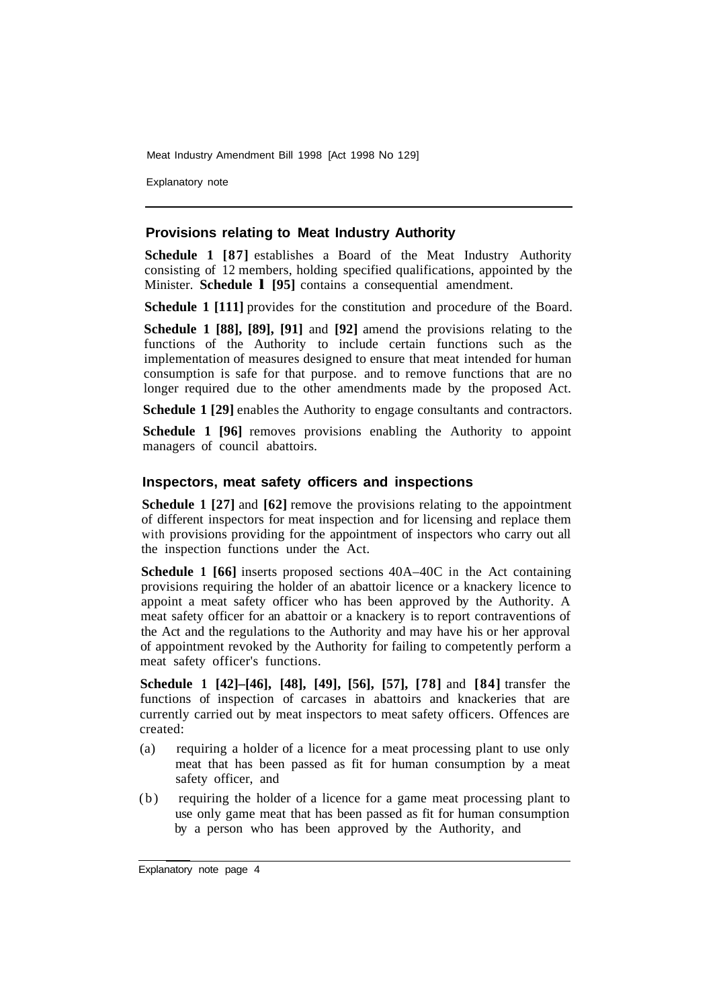Explanatory note

#### **Provisions relating to Meat Industry Authority**

**Schedule 1 [87]** establishes a Board of the Meat Industry Authority consisting of 12 members, holding specified qualifications, appointed by the Minister. **Schedule l [95]** contains a consequential amendment.

**Schedule 1 [111]** provides for the constitution and procedure of the Board.

**Schedule 1 [88], [89], [91]** and **[92]** amend the provisions relating to the functions of the Authority to include certain functions such as the implementation of measures designed to ensure that meat intended for human consumption is safe for that purpose. and to remove functions that are no longer required due to the other amendments made by the proposed Act.

**Schedule 1 [29] enables the Authority to engage consultants and contractors.** 

**Schedule 1 [96]** removes provisions enabling the Authority to appoint managers of council abattoirs.

#### **Inspectors, meat safety officers and inspections**

**Schedule 1 [27] and [62] remove the provisions relating to the appointment** of different inspectors for meat inspection and for licensing and replace them with provisions providing for the appointment of inspectors who carry out all the inspection functions under the Act.

**Schedule 1 [66]** inserts proposed sections 40A–40C in the Act containing provisions requiring the holder of an abattoir licence or a knackery licence to appoint a meat safety officer who has been approved by the Authority. A meat safety officer for an abattoir or a knackery is to report contraventions of the Act and the regulations to the Authority and may have his or her approval of appointment revoked by the Authority for failing to competently perform a meat safety officer's functions.

**Schedule 1 [42]–[46], [48], [49], [56], [57], [78]** and **[84]** transfer the functions of inspection of carcases in abattoirs and knackeries that are currently carried out by meat inspectors to meat safety officers. Offences are created:

- (a) requiring a holder of a licence for a meat processing plant to use only meat that has been passed as fit for human consumption by a meat safety officer, and
- (b) requiring the holder of a licence for a game meat processing plant to use only game meat that has been passed as fit for human consumption by a person who has been approved by the Authority, and

Explanatory note page 4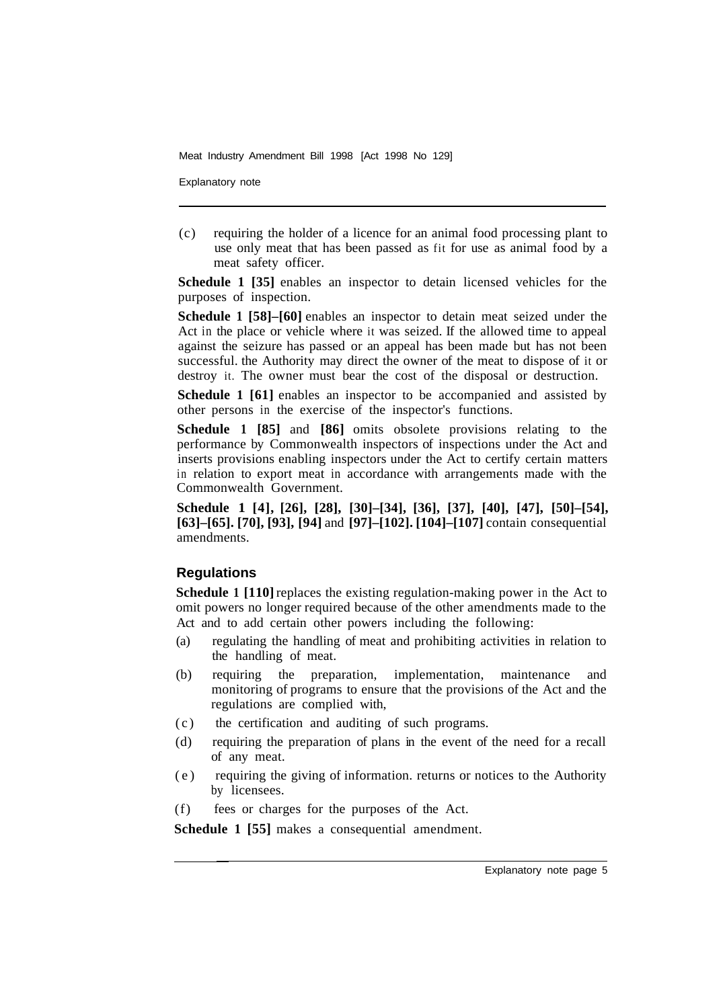Explanatory note

(c) requiring the holder of a licence for an animal food processing plant to use only meat that has been passed as fit for use as animal food by a meat safety officer.

**Schedule 1 [35]** enables an inspector to detain licensed vehicles for the purposes of inspection.

**Schedule 1 [58]–[60]** enables an inspector to detain meat seized under the Act in the place or vehicle where it was seized. If the allowed time to appeal against the seizure has passed or an appeal has been made but has not been successful. the Authority may direct the owner of the meat to dispose of it or destroy it. The owner must bear the cost of the disposal or destruction.

**Schedule 1 [61]** enables an inspector to be accompanied and assisted by other persons in the exercise of the inspector's functions.

**Schedule 1 [85]** and **[86]** omits obsolete provisions relating to the performance by Commonwealth inspectors of inspections under the Act and inserts provisions enabling inspectors under the Act to certify certain matters in relation to export meat in accordance with arrangements made with the Commonwealth Government.

**Schedule 1 [4], [26], [28], [30]–[34], [36], [37], [40], [47], [50]–[54], [63]–[65]. [70], [93], [94]** and **[97]–[102]. [104]–[107]** contain consequential amendments.

#### **Regulations**

**Schedule 1 [110]** replaces the existing regulation-making power in the Act to omit powers no longer required because of the other amendments made to the Act and to add certain other powers including the following:

- (a) regulating the handling of meat and prohibiting activities in relation to the handling of meat.
- (b) requiring the preparation, implementation, maintenance and monitoring of programs to ensure that the provisions of the Act and the regulations are complied with,
- (c) the certification and auditing of such programs.
- (d) requiring the preparation of plans in the event of the need for a recall of any meat.
- (e) requiring the giving of information. returns or notices to the Authority by licensees.
- (f) fees or charges for the purposes of the Act.

**Schedule 1 [55]** makes a consequential amendment.